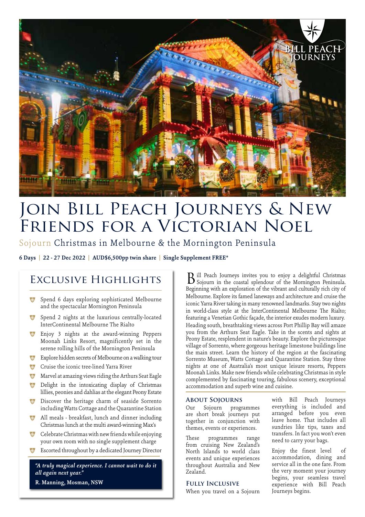

# Join Bill Peach Journeys & New Friends for a Victorian Noel

# Sojourn Christmas in Melbourne & the Mornington Peninsula

**6 Days | 22 - 27 Dec 2022 | AUD\$6,500pp twin share | Single Supplement FREE\***

# Exclusive Highlights

- \* Spend 6 days exploring sophisticated Melbourne and the spectacular Mornington Peninsula
- \* Spend 2 nights at the luxurious centrally-located InterContinental Melbourne The Rialto
- \* Enjoy 3 nights at the award-winning Peppers Moonah Links Resort, magnificently set in the serene rolling hills of the Mornington Peninsula
- Explore hidden secrets of Melbourne on a walking tour
- \*\* Cruise the iconic tree-lined Yarra River
- **\*** Marvel at amazing views riding the Arthurs Seat Eagle
- <sup>7</sup> Delight in the intoxicating display of Christmas lillies, peonies and dahlias at the elegant Peony Estate
- **\*** Discover the heritage charm of seaside Sorrento including Watts Cottage and the Quarantine Station
- <sup>7</sup> All meals breakfast, lunch and dinner including Christmas lunch at the multi award-winning Max's
- $\bullet$  Celebrate Christmas with new friends while enjoying your own room with no single supplement charge
- Escorted throughout by a dedicated Journey Director

*"A truly magical experience. I cannot wait to do it all again next year."*  **R. Manning, Mosman, NSW**

ill Peach Journeys invites you to enjoy a delightful Christmas B ill Peach Journeys invites you to enjoy a delightful Christmas Sojourn in the coastal splendour of the Mornington Peninsula. Beginning with an exploration of the vibrant and culturally rich city of Melbourne. Explore its famed laneways and architecture and cruise the iconic Yarra River taking in many renowned landmarks. Stay two nights in world-class style at the InterContinental Melbourne The Rialto; featuring a Venetian Gothic façade, the interior exudes modern luxury. Heading south, breathtaking views across Port Phillip Bay will amaze you from the Arthurs Seat Eagle. Take in the scents and sights at Peony Estate, resplendent in nature's beauty. Explore the picturesque village of Sorrento, where gorgeous heritage limestone buildings line the main street. Learn the history of the region at the fascinating Sorrento Museum, Watts Cottage and Quarantine Station. Stay three nights at one of Australia's most unique leisure resorts, Peppers Moonah Links. Make new friends while celebrating Christmas in style complemented by fascinating touring, fabulous scenery, exceptional accommodation and superb wine and cuisine.

# **About Sojourns**

Our Sojourn programmes are short break journeys put together in conjunction with themes, events or experiences.

These programmes range from cruising New Zealand's North Islands to world class events and unique experiences throughout Australia and New Zealand.

#### **Fully Inclusive**

When you travel on a Sojourn

with Bill Peach Journeys everything is included and arranged before you even leave home. That includes all sundries like tips, taxes and transfers. In fact you won't even need to carry your bags.

Enjoy the finest level of accommodation, dining and service all in the one fare. From the very moment your journey begins, your seamless travel experience with Bill Peach Journeys begins.